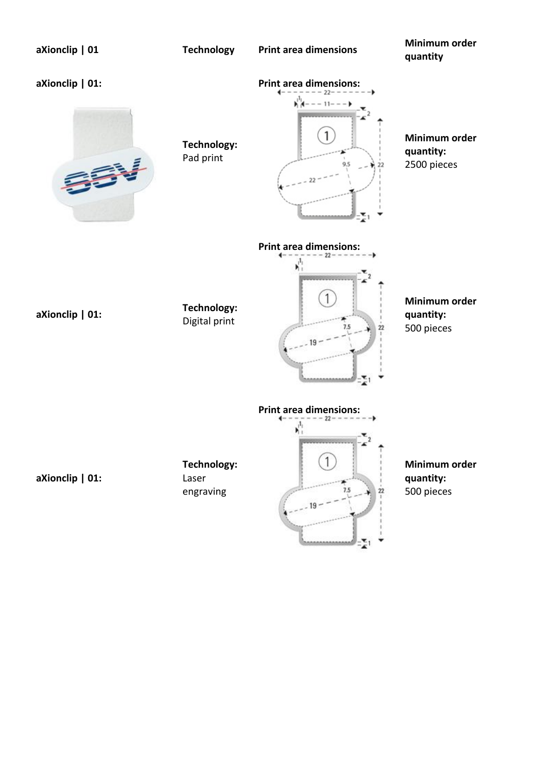| aXionclip   01  | <b>Technology</b>                 | <b>Print area dimensions</b>               | Minimum order<br>quantity                 |
|-----------------|-----------------------------------|--------------------------------------------|-------------------------------------------|
| aXionclip   01: | Technology:<br>Pad print          | <b>Print area dimensions:</b>              | Minimum order<br>quantity:<br>2500 pieces |
| aXionclip   01: | Technology:<br>Digital print      | <b>Print area dimensions:</b><br>22        | Minimum order<br>quantity:<br>500 pieces  |
| aXionclip   01: | Technology:<br>Laser<br>engraving | <b>Print area dimensions:</b><br>7.5<br>22 | Minimum order<br>quantity:<br>500 pieces  |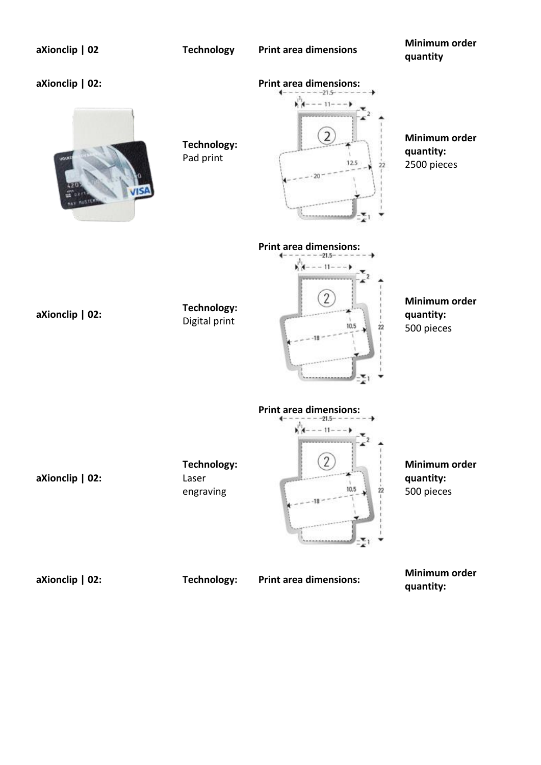| aXionclip   02          | <b>Technology</b>                 | <b>Print area dimensions</b>                | Minimum order<br>quantity                 |
|-------------------------|-----------------------------------|---------------------------------------------|-------------------------------------------|
| aXionclip   02:<br>your | Technology:<br>Pad print          | <b>Print area dimensions:</b><br>12.5<br>22 | Minimum order<br>quantity:<br>2500 pieces |
| aXionclip   02:         | Technology:<br>Digital print      | <b>Print area dimensions:</b><br>10,5       | Minimum order<br>quantity:<br>500 pieces  |
| aXionclip   02:         | Technology:<br>Laser<br>engraving | <b>Print area dimensions:</b><br>10.5<br>22 | Minimum order<br>quantity:<br>500 pieces  |
| aXionclip   02:         | Technology:                       | <b>Print area dimensions:</b>               | Minimum order<br>quantity:                |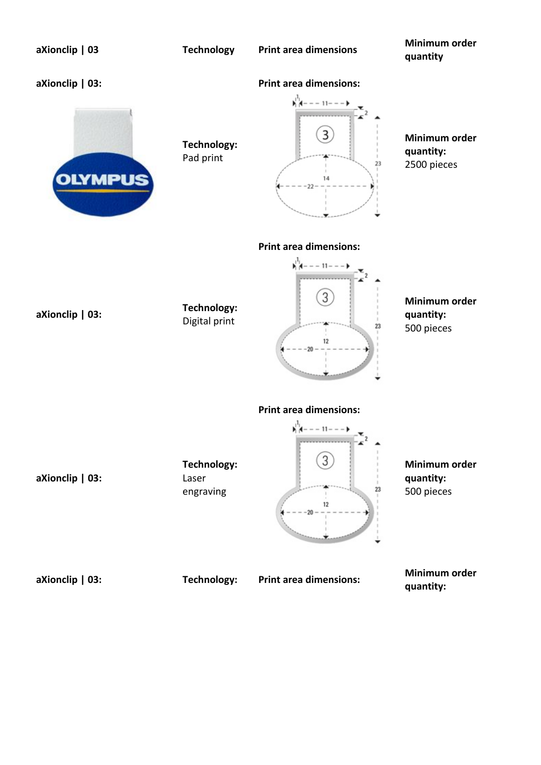| aXionclip   03                    | <b>Technology</b>                 | <b>Print area dimensions</b>                                          | Minimum order<br>quantity                 |
|-----------------------------------|-----------------------------------|-----------------------------------------------------------------------|-------------------------------------------|
| aXionclip   03:<br><b>OLYMPUS</b> | Technology:<br>Pad print          | <b>Print area dimensions:</b><br>23                                   | Minimum order<br>quantity:<br>2500 pieces |
| aXionclip   03:                   | Technology:<br>Digital print      | <b>Print area dimensions:</b><br>$-11-$<br>23<br>12                   | Minimum order<br>quantity:<br>500 pieces  |
| aXionclip   03:                   | Technology:<br>Laser<br>engraving | <b>Print area dimensions:</b><br>$- - 11 -$<br>3<br>23<br>12<br>$-20$ | Minimum order<br>quantity:<br>500 pieces  |

**aXionclip | 03: Technology: Print area dimensions: Minimum order quantity:**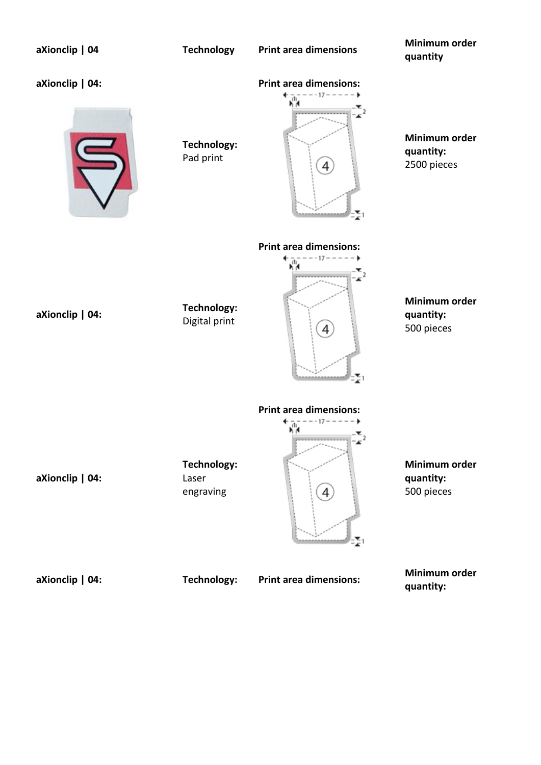| aXionclip   04  | <b>Technology</b>                 | <b>Print area dimensions</b>       | Minimum order<br>quantity                 |
|-----------------|-----------------------------------|------------------------------------|-------------------------------------------|
| aXionclip   04: | <b>Technology:</b><br>Pad print   | <b>Print area dimensions:</b>      | Minimum order<br>quantity:<br>2500 pieces |
| aXionclip   04: | Technology:<br>Digital print      | <b>Print area dimensions:</b><br>4 | Minimum order<br>quantity:<br>500 pieces  |
| aXionclip   04: | Technology:<br>Laser<br>engraving | <b>Print area dimensions:</b><br>4 | Minimum order<br>quantity:<br>500 pieces  |
| aXionclip   04: | Technology:                       | <b>Print area dimensions:</b>      | Minimum order<br>quantity:                |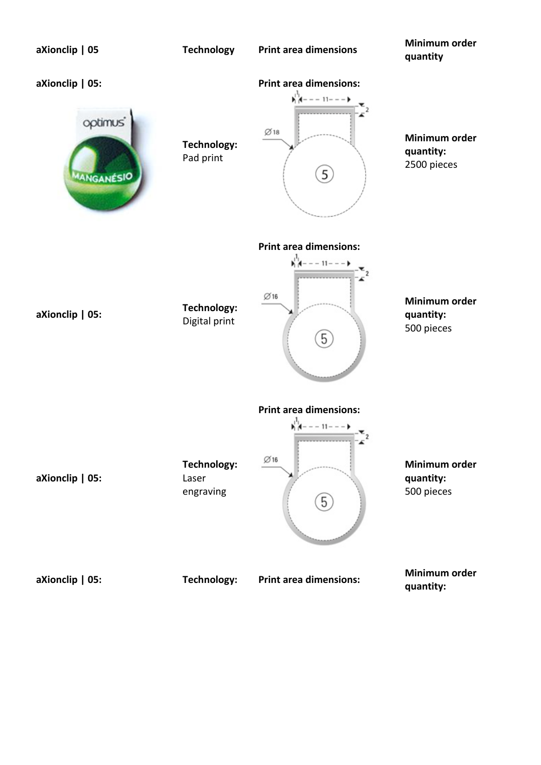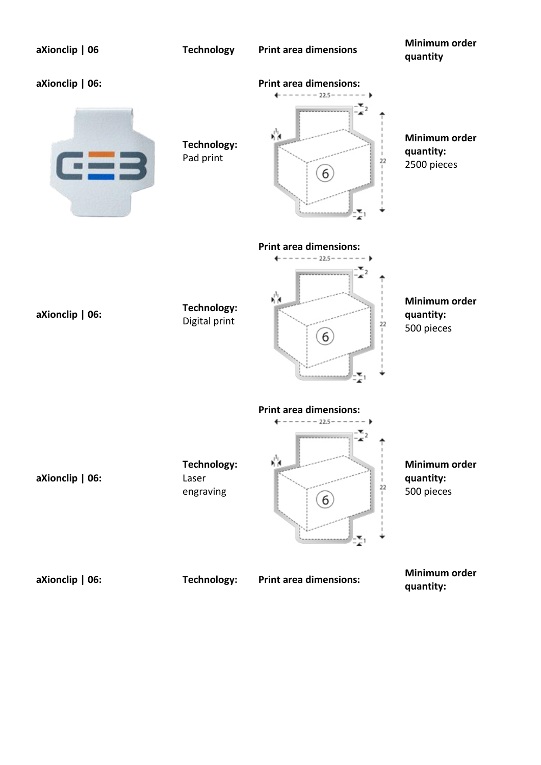| aXionclip   06        | <b>Technology</b>                 | <b>Print area dimensions</b>                                           | Minimum order<br>quantity                 |
|-----------------------|-----------------------------------|------------------------------------------------------------------------|-------------------------------------------|
| aXionclip   06:       | Technology:<br>Pad print          | <b>Print area dimensions:</b><br>$- - 22.5 - - - -$<br>ή'n,<br>22<br>6 | Minimum order<br>quantity:<br>2500 pieces |
| aXionclip   06:       | Technology:<br>Digital print      | <b>Print area dimensions:</b><br>$-22.5- -$<br>γķ<br>22<br>6           | Minimum order<br>quantity:<br>500 pieces  |
| aXionclip $\vert$ 06: | Technology:<br>Laser<br>engraving | <b>Print area dimensions:</b><br>$--- 22.5---$<br><br>ή'n,<br>22<br>6  | Minimum order<br>quantity:<br>500 pieces  |
| aXionclip   06:       | Technology:                       | <b>Print area dimensions:</b>                                          | Minimum order<br>quantity:                |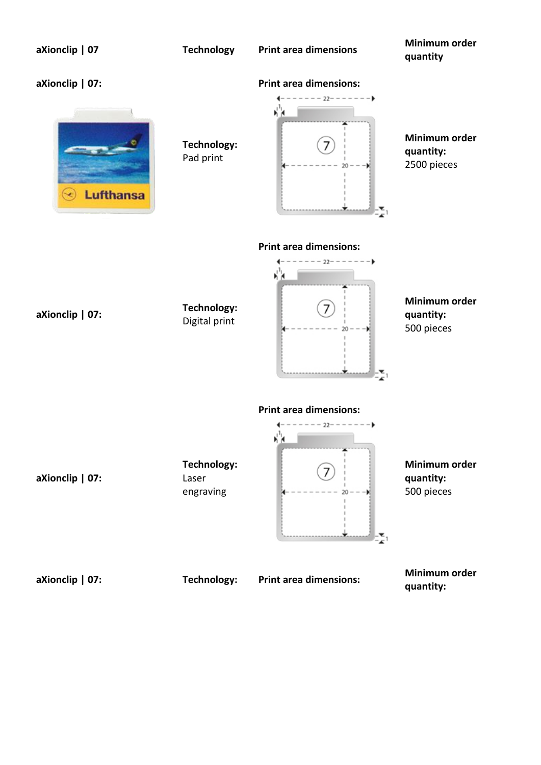| aXionclip   07               | <b>Technology</b>                        | <b>Print area dimensions</b>                      | Minimum order<br>quantity                 |
|------------------------------|------------------------------------------|---------------------------------------------------|-------------------------------------------|
| aXionclip   07:<br>Lufthansa | <b>Technology:</b><br>Pad print          | <b>Print area dimensions:</b><br>$-22- - - - - -$ | Minimum order<br>quantity:<br>2500 pieces |
| aXionclip   07:              | Technology:<br>Digital print             | <b>Print area dimensions:</b><br>$--22-------$    | Minimum order<br>quantity:<br>500 pieces  |
| aXionclip   07:              | <b>Technology:</b><br>Laser<br>engraving | <b>Print area dimensions:</b><br>$--22-------$    | Minimum order<br>quantity:<br>500 pieces  |
| aXionclip   07:              | Technology:                              | <b>Print area dimensions:</b>                     | Minimum order<br>$1.000 + 1.000$          |

**quantity:**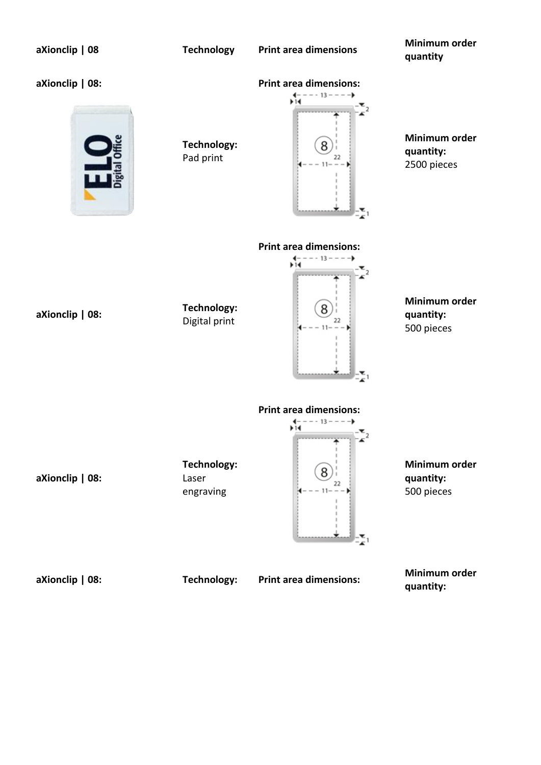| aXionclip   08  | <b>Technology</b>                 | <b>Print area dimensions</b>                                          | Minimum order<br>quantity                 |
|-----------------|-----------------------------------|-----------------------------------------------------------------------|-------------------------------------------|
| aXionclip   08: | <b>Technology:</b><br>Pad print   | <b>Print area dimensions:</b><br>$--- 13--- 12$<br>8<br>22            | Minimum order<br>quantity:<br>2500 pieces |
| aXionclip   08: | Technology:<br>Digital print      | <b>Print area dimensions:</b><br>$--- 13 --- ---$<br>$+14$<br>8<br>22 | Minimum order<br>quantity:<br>500 pieces  |
| aXionclip   08: | Technology:<br>Laser<br>engraving | <b>Print area dimensions:</b><br>$- - - 13 - - -$<br>11≢<br>8<br>22   | Minimum order<br>quantity:<br>500 pieces  |
| aXionclip   08: | Technology:                       | <b>Print area dimensions:</b>                                         | Minimum order<br>quantity:                |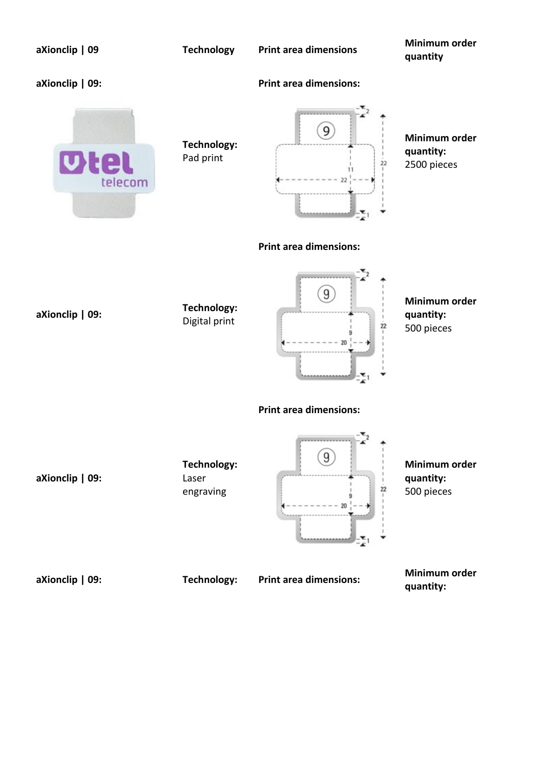| aXionclip   09  | <b>Technology</b>                 | <b>Print area dimensions</b>  | Minimum order<br>quantity                 |
|-----------------|-----------------------------------|-------------------------------|-------------------------------------------|
| aXionclip   09: |                                   | <b>Print area dimensions:</b> |                                           |
| UIR<br>telecom  | Technology:<br>Pad print          | 9<br>22                       | Minimum order<br>quantity:<br>2500 pieces |
|                 |                                   | <b>Print area dimensions:</b> |                                           |
| aXionclip   09: | Technology:<br>Digital print      | 9<br>22<br>20                 | Minimum order<br>quantity:<br>500 pieces  |
|                 |                                   | <b>Print area dimensions:</b> |                                           |
| aXionclip   09: | Technology:<br>Laser<br>engraving | 9<br>$\overline{22}$          | Minimum order<br>quantity:<br>500 pieces  |

**aXionclip | 09: Technology: Print area dimensions: Minimum order quantity:**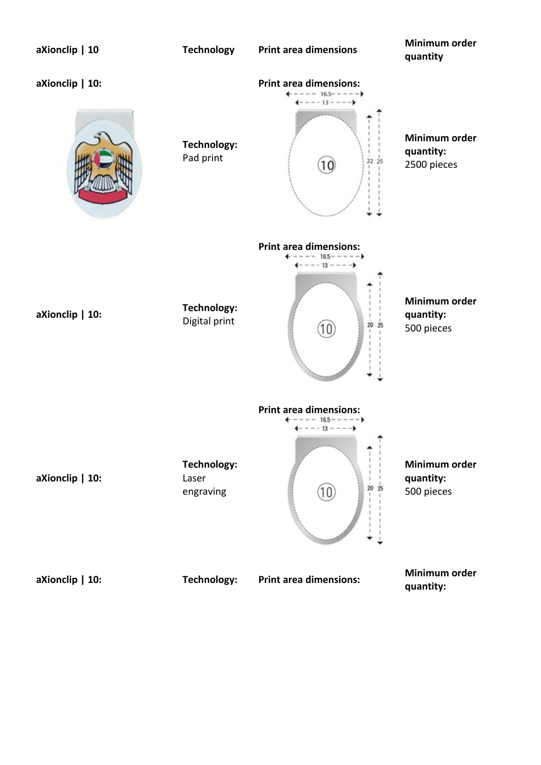